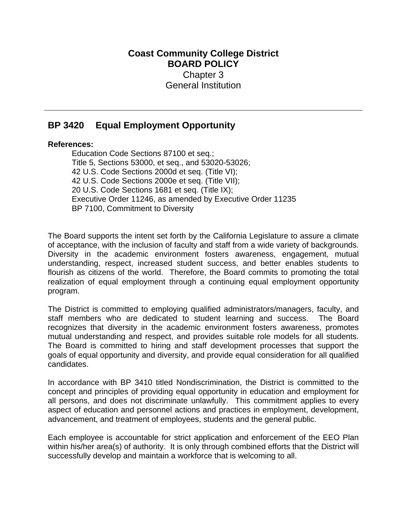## **Coast Community College District BOARD POLICY** Chapter 3 General Institution

## **BP 3420 Equal Employment Opportunity**

## **References:**

Education Code Sections 87100 et seq.; Title 5, Sections 53000, et seq., and 53020-53026; 42 U.S. Code Sections 2000d et seq. (Title VI); 42 U.S. Code Sections 2000e et seq. (Title VII); 20 U.S. Code Sections 1681 et seq. (Title IX); Executive Order 11246, as amended by Executive Order 11235 BP 7100, Commitment to Diversity

The Board supports the intent set forth by the California Legislature to assure a climate of acceptance, with the inclusion of faculty and staff from a wide variety of backgrounds. Diversity in the academic environment fosters awareness, engagement, mutual understanding, respect, increased student success, and better enables students to flourish as citizens of the world. Therefore, the Board commits to promoting the total realization of equal employment through a continuing equal employment opportunity program.

mutual understanding and respect, and provides suitable role models for all students. The District is committed to employing qualified administrators/managers, faculty, and staff members who are dedicated to student learning and success. The Board recognizes that diversity in the academic environment fosters awareness, promotes The Board is committed to hiring and staff development processes that support the goals of equal opportunity and diversity, and provide equal consideration for all qualified candidates.

In accordance with BP 3410 titled Nondiscrimination, the District is committed to the concept and principles of providing equal opportunity in education and employment for all persons, and does not discriminate unlawfully. This commitment applies to every aspect of education and personnel actions and practices in employment, development, advancement, and treatment of employees, students and the general public.

Each employee is accountable for strict application and enforcement of the EEO Plan within his/her area(s) of authority. It is only through combined efforts that the District will successfully develop and maintain a workforce that is welcoming to all.